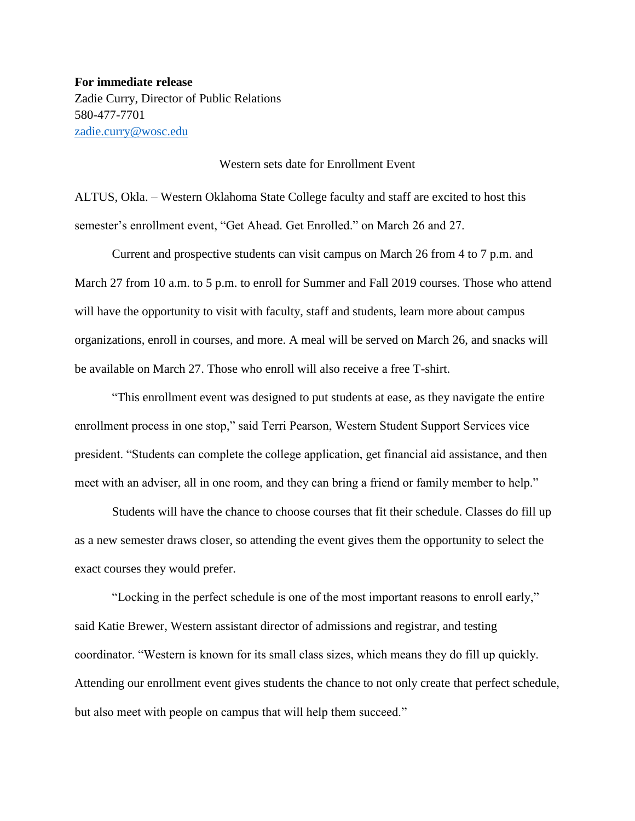**For immediate release** Zadie Curry, Director of Public Relations 580-477-7701 [zadie.curry@wosc.edu](mailto:zadie.curry@wosc.edu)

## Western sets date for Enrollment Event

ALTUS, Okla. – Western Oklahoma State College faculty and staff are excited to host this semester's enrollment event, "Get Ahead. Get Enrolled." on March 26 and 27.

Current and prospective students can visit campus on March 26 from 4 to 7 p.m. and March 27 from 10 a.m. to 5 p.m. to enroll for Summer and Fall 2019 courses. Those who attend will have the opportunity to visit with faculty, staff and students, learn more about campus organizations, enroll in courses, and more. A meal will be served on March 26, and snacks will be available on March 27. Those who enroll will also receive a free T-shirt.

"This enrollment event was designed to put students at ease, as they navigate the entire enrollment process in one stop," said Terri Pearson, Western Student Support Services vice president. "Students can complete the college application, get financial aid assistance, and then meet with an adviser, all in one room, and they can bring a friend or family member to help."

Students will have the chance to choose courses that fit their schedule. Classes do fill up as a new semester draws closer, so attending the event gives them the opportunity to select the exact courses they would prefer.

"Locking in the perfect schedule is one of the most important reasons to enroll early," said Katie Brewer, Western assistant director of admissions and registrar, and testing coordinator. "Western is known for its small class sizes, which means they do fill up quickly. Attending our enrollment event gives students the chance to not only create that perfect schedule, but also meet with people on campus that will help them succeed."